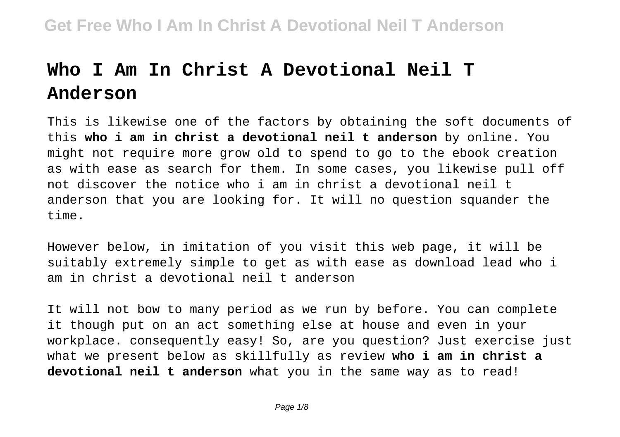# **Who I Am In Christ A Devotional Neil T Anderson**

This is likewise one of the factors by obtaining the soft documents of this **who i am in christ a devotional neil t anderson** by online. You might not require more grow old to spend to go to the ebook creation as with ease as search for them. In some cases, you likewise pull off not discover the notice who i am in christ a devotional neil t anderson that you are looking for. It will no question squander the time.

However below, in imitation of you visit this web page, it will be suitably extremely simple to get as with ease as download lead who i am in christ a devotional neil t anderson

It will not bow to many period as we run by before. You can complete it though put on an act something else at house and even in your workplace. consequently easy! So, are you question? Just exercise just what we present below as skillfully as review **who i am in christ a devotional neil t anderson** what you in the same way as to read!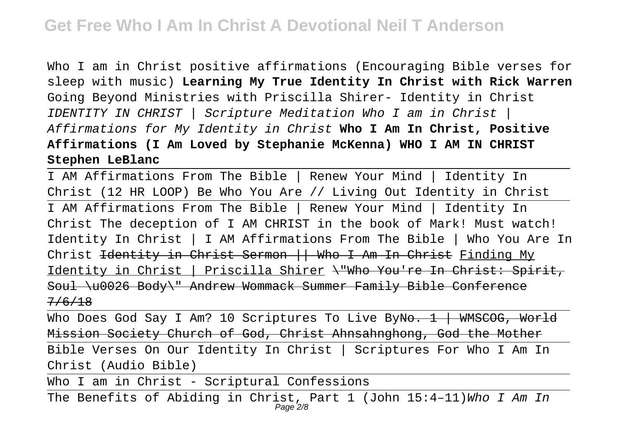Who I am in Christ positive affirmations (Encouraging Bible verses for sleep with music) **Learning My True Identity In Christ with Rick Warren** Going Beyond Ministries with Priscilla Shirer- Identity in Christ IDENTITY IN CHRIST | Scripture Meditation Who I am in Christ | Affirmations for My Identity in Christ **Who I Am In Christ, Positive Affirmations (I Am Loved by Stephanie McKenna) WHO I AM IN CHRIST Stephen LeBlanc**

I AM Affirmations From The Bible | Renew Your Mind | Identity In Christ (12 HR LOOP) Be Who You Are // Living Out Identity in Christ I AM Affirmations From The Bible | Renew Your Mind | Identity In Christ The deception of I AM CHRIST in the book of Mark! Must watch! Identity In Christ | I AM Affirmations From The Bible | Who You Are In Christ <del>Identity in Christ Sermon || Who I Am In Christ</del> Finding My Identity in Christ | Priscilla Shirer \"Who You're In Christ: Spirit, Soul \u0026 Body\" Andrew Wommack Summer Family Bible Conference 7/6/18

Who Does God Say I Am? 10 Scriptures To Live By<del>No. 1 | WMSCOG, World</del> Mission Society Church of God, Christ Ahnsahnghong, God the Mother

Bible Verses On Our Identity In Christ | Scriptures For Who I Am In Christ (Audio Bible)

Who I am in Christ - Scriptural Confessions

The Benefits of Abiding in Christ, Part 1 (John 15:4-11)Who I Am In Page 2/8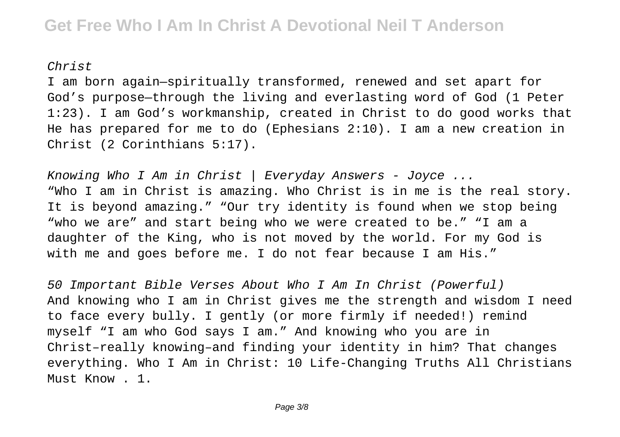### Christ

I am born again—spiritually transformed, renewed and set apart for God's purpose—through the living and everlasting word of God (1 Peter 1:23). I am God's workmanship, created in Christ to do good works that He has prepared for me to do (Ephesians 2:10). I am a new creation in Christ (2 Corinthians 5:17).

Knowing Who I Am in Christ | Everyday Answers - Joyce ... "Who I am in Christ is amazing. Who Christ is in me is the real story. It is beyond amazing." "Our try identity is found when we stop being "who we are" and start being who we were created to be." "I am a daughter of the King, who is not moved by the world. For my God is with me and goes before me. I do not fear because I am His."

50 Important Bible Verses About Who I Am In Christ (Powerful) And knowing who I am in Christ gives me the strength and wisdom I need to face every bully. I gently (or more firmly if needed!) remind myself "I am who God says I am." And knowing who you are in Christ–really knowing–and finding your identity in him? That changes everything. Who I Am in Christ: 10 Life-Changing Truths All Christians Must Know . 1.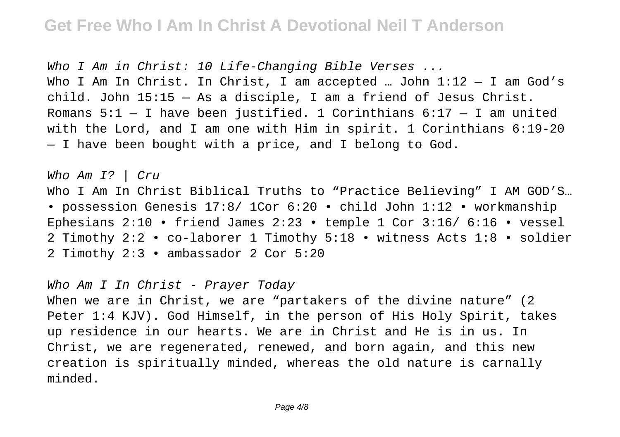Who I Am in Christ: 10 Life-Changing Bible Verses ... Who I Am In Christ. In Christ, I am accepted ... John  $1:12 - I$  am God's child. John 15:15 — As a disciple, I am a friend of Jesus Christ. Romans  $5:1 - I$  have been justified. 1 Corinthians  $6:17 - I$  am united with the Lord, and I am one with Him in spirit. 1 Corinthians 6:19-20 — I have been bought with a price, and I belong to God.

Who Am I? | Cru Who I Am In Christ Biblical Truths to "Practice Believing" I AM GOD'S... • possession Genesis 17:8/ 1Cor 6:20 • child John 1:12 • workmanship Ephesians 2:10 • friend James 2:23 • temple 1 Cor 3:16/ 6:16 • vessel 2 Timothy 2:2 • co-laborer 1 Timothy 5:18 • witness Acts 1:8 • soldier 2 Timothy 2:3 • ambassador 2 Cor 5:20

Who Am I In Christ - Prayer Today

When we are in Christ, we are "partakers of the divine nature" (2 Peter 1:4 KJV). God Himself, in the person of His Holy Spirit, takes up residence in our hearts. We are in Christ and He is in us. In Christ, we are regenerated, renewed, and born again, and this new creation is spiritually minded, whereas the old nature is carnally minded.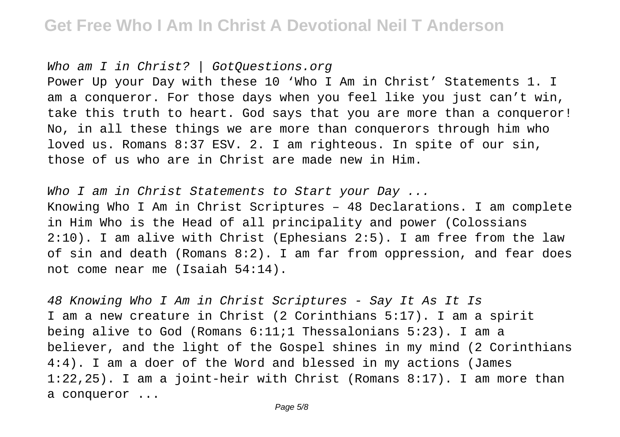## **Get Free Who I Am In Christ A Devotional Neil T Anderson**

Who am I in Christ? | GotOuestions.org

Power Up your Day with these 10 'Who I Am in Christ' Statements 1. I am a conqueror. For those days when you feel like you just can't win, take this truth to heart. God says that you are more than a conqueror! No, in all these things we are more than conquerors through him who loved us. Romans 8:37 ESV. 2. I am righteous. In spite of our sin, those of us who are in Christ are made new in Him.

Who I am in Christ Statements to Start your Day ... Knowing Who I Am in Christ Scriptures – 48 Declarations. I am complete in Him Who is the Head of all principality and power (Colossians 2:10). I am alive with Christ (Ephesians 2:5). I am free from the law of sin and death (Romans 8:2). I am far from oppression, and fear does not come near me (Isaiah 54:14).

48 Knowing Who I Am in Christ Scriptures - Say It As It Is I am a new creature in Christ (2 Corinthians 5:17). I am a spirit being alive to God (Romans 6:11;1 Thessalonians 5:23). I am a believer, and the light of the Gospel shines in my mind (2 Corinthians 4:4). I am a doer of the Word and blessed in my actions (James 1:22,25). I am a joint-heir with Christ (Romans 8:17). I am more than a conqueror ...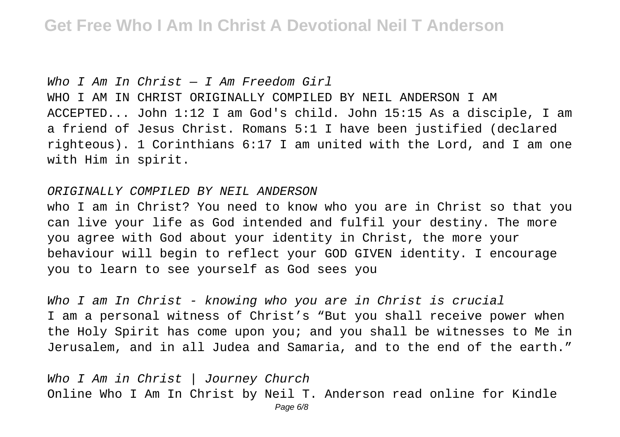Who I Am In Christ  $-$  I Am Freedom Girl WHO I AM IN CHRIST ORIGINALLY COMPILED BY NEIL ANDERSON I AM ACCEPTED... John 1:12 I am God's child. John 15:15 As a disciple, I am a friend of Jesus Christ. Romans 5:1 I have been justified (declared righteous). 1 Corinthians 6:17 I am united with the Lord, and I am one with Him in spirit.

#### ORIGINALLY COMPILED BY NEIL ANDERSON

who I am in Christ? You need to know who you are in Christ so that you can live your life as God intended and fulfil your destiny. The more you agree with God about your identity in Christ, the more your behaviour will begin to reflect your GOD GIVEN identity. I encourage you to learn to see yourself as God sees you

Who I am In Christ - knowing who you are in Christ is crucial I am a personal witness of Christ's "But you shall receive power when the Holy Spirit has come upon you; and you shall be witnesses to Me in Jerusalem, and in all Judea and Samaria, and to the end of the earth."

Who I Am in Christ | Journey Church Online Who I Am In Christ by Neil T. Anderson read online for Kindle Page 6/8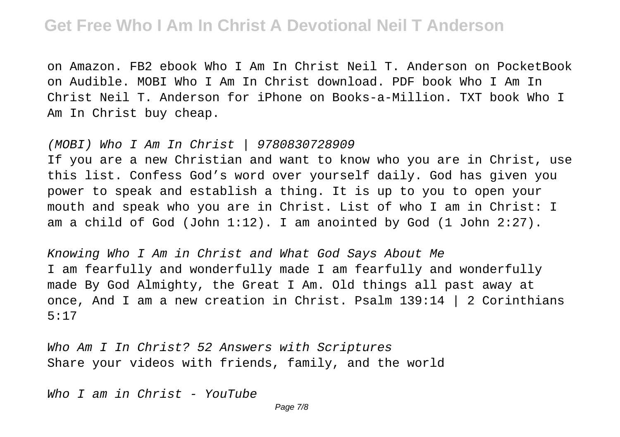## **Get Free Who I Am In Christ A Devotional Neil T Anderson**

on Amazon. FB2 ebook Who I Am In Christ Neil T. Anderson on PocketBook on Audible. MOBI Who I Am In Christ download. PDF book Who I Am In Christ Neil T. Anderson for iPhone on Books-a-Million. TXT book Who I Am In Christ buy cheap.

#### (MOBI) Who I Am In Christ | 9780830728909

If you are a new Christian and want to know who you are in Christ, use this list. Confess God's word over yourself daily. God has given you power to speak and establish a thing. It is up to you to open your mouth and speak who you are in Christ. List of who I am in Christ: I am a child of God (John 1:12). I am anointed by God (1 John 2:27).

Knowing Who I Am in Christ and What God Says About Me I am fearfully and wonderfully made I am fearfully and wonderfully made By God Almighty, the Great I Am. Old things all past away at once, And I am a new creation in Christ. Psalm 139:14 | 2 Corinthians 5:17

Who Am I In Christ? 52 Answers with Scriptures Share your videos with friends, family, and the world

Who I am in Christ - YouTube